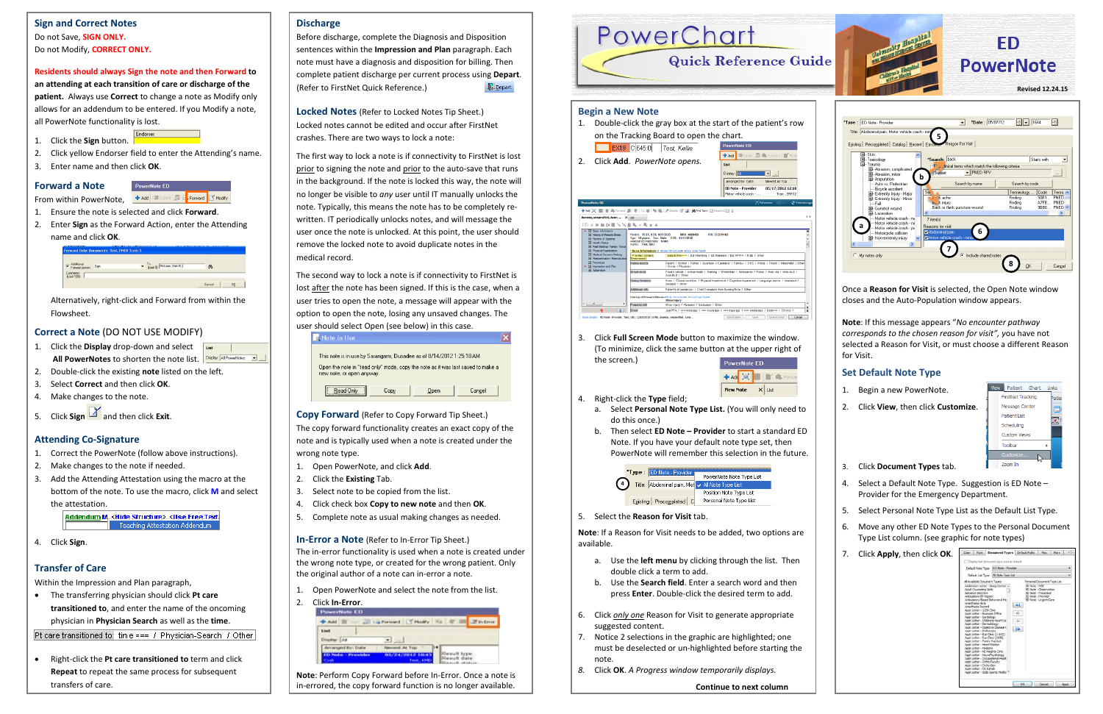**Note**: If this message appears "*No encounter pathway corresponds to the chosen reason for visit", y*ou have not selected a Reason for Visit, or must choose a different Reason for Visit.

### **Set Default Note Type**

- 1. Begin a new PowerNote.
- 2. Click **View**, then click **Customize**.



- 3. Click **Document Types** tab.
- 4. Select a Default Note Type. Suggestion is ED Note Provider for the Emergency Department.
- 5. Select Personal Note Type List as the Default List Type.
- 6. Move any other ED Note Types to the Personal Document Type List column. (see graphic for note types)
- 7. Click **Apply**, then click **OK**.

| Display last document type used as default                                                                                                                                                                                                                                                                                                                                                                                                                                                                                                                                                                                                                                                                                                                        |                                       |                      |                                                                    |  |  |
|-------------------------------------------------------------------------------------------------------------------------------------------------------------------------------------------------------------------------------------------------------------------------------------------------------------------------------------------------------------------------------------------------------------------------------------------------------------------------------------------------------------------------------------------------------------------------------------------------------------------------------------------------------------------------------------------------------------------------------------------------------------------|---------------------------------------|----------------------|--------------------------------------------------------------------|--|--|
|                                                                                                                                                                                                                                                                                                                                                                                                                                                                                                                                                                                                                                                                                                                                                                   | Default Note Type: ED Note - Provider |                      |                                                                    |  |  |
|                                                                                                                                                                                                                                                                                                                                                                                                                                                                                                                                                                                                                                                                                                                                                                   | Default List Type: All Note Type List |                      |                                                                    |  |  |
| All Available Document Types                                                                                                                                                                                                                                                                                                                                                                                                                                                                                                                                                                                                                                                                                                                                      |                                       |                      | Personal Document Type List                                        |  |  |
| <b>Advance Directive</b><br>Ambulatory BP Report<br>Ambulatory-Based Behavioral He<br>Anesthesia Note<br><b>Annethinsia Record</b><br>Apot Letter - 1209 Clinic<br>Acot Letter - Business Office<br>Appt Letter - Cardology<br>Appt Letter - Childrens Heart Ce<br>Appt Letter - Dermatology<br>Appt Letter - Digestive Disease C<br>Appt Letter - Endoscopy<br>Appt Letter - Eye Cinic (1 ACC)<br>Appt Letter - Eye Ciric (1600)<br>Appt Letter - Family Practice<br><b>Annt Letter - Heart Station</b><br>Appt Letter - Medicine<br>Appt Letter - NE Heights Cinic<br>Appt Letter - NeuroPsychology<br>Appt Letter - Occupational Healt<br>Appt Letter - Ortho Faculty<br>Appt Letter - Ortho Gen<br>Appt Letter - OS Rehab<br>Appt Letter - OSIS Sports Medici |                                       | иJ.<br>$\frac{1}{2}$ | ED Note - Procedure<br>ED Note - Provider<br>ED Note - Urgent Care |  |  |

- Use the **left menu** by clicking through the list. Then double click a term to add.
- b. Use the **Search field**. Enter a search word and then press **Enter**. Double-click the desired term to add.
- 6. Click *only one* Reason for Visit to generate appropriate suggested content.
- 7. Notice 2 selections in the graphic are highlighted; one must be deselected or un-highlighted before starting the note.
- *8.* Click **OK**. *A Progress window temporarily displays.*

3. Click **Full Screen Mode** button to maximize the window. (To minimize, click the same button at the upper right of the screen.)

| <b>PowerNote ED</b> |  |      |
|---------------------|--|------|
|                     |  |      |
| <b>New Note</b>     |  | List |

Sign/Submit | Save | Save & Close | Cancel

- 4. Right-click the **Type** field;
	- a. Select **Personal Note Type List.** (You will only need to do this once.)
	- b. Then select **ED Note – Provider** to start a standard ED Note. If you have your default note type set, then PowerNote will remember this selection in the future.



5. Select the **Reason for Visit** tab.

**Note**: If a Reason for Visit needs to be added, two options are available.

**Continue to next column**

# **Discharge**

- 1. Open PowerNote and select the note from the list.
- 2. Click **In-Error**. List Display At  $\mathbf{v}$  and **Result type**<br>Result date

Before discharge, complete the Diagnosis and Disposition sentences within the **Impression and Plan** paragraph. Each note must have a diagnosis and disposition for billing. Then complete patient discharge per current process using **Depart**.  $\mathbb{R}$  Depart (Refer to FirstNet Quick Reference.)

**Locked Notes** (Refer to Locked Notes Tip Sheet.) Locked notes cannot be edited and occur after FirstNet crashes. There are two ways to lock a note:

**+ Add E** Submit  $\frac{1}{\sqrt{3}}$  **E** Forward **E** Modify From within PowerNote,

- 1. Click the **Display** drop-down and select ust All PowerNotes to shorten the note list. **Display:** All PowerNotes **T**
- 2. Double-click the existing **note** listed on the left.
- 3. Select **Correct** and then click **OK**.
- 4. Make changes to the note.
- 5. Click **Sign** and then click **Exit**.

The first way to lock a note is if connectivity to FirstNet is lost prior to signing the note and prior to the auto-save that runs in the background. If the note is locked this way, the note will no longer be visible to *any* user until IT manually unlocks the note. Typically, this means the note has to be completely rewritten. IT periodically unlocks notes, and will message the user once the note is unlocked. At this point, the user should remove the locked note to avoid duplicate notes in the medical record.



The second way to lock a note is if connectivity to FirstNet is lost after the note has been signed. If this is the case, when a user tries to open the note, a message will appear with the option to open the note, losing any unsaved changes. The user should select Open (see below) in this case.



**Copy Forward** (Refer to Copy Forward Tip Sheet.)

The copy forward functionality creates an exact copy of the note and is typically used when a note is created under the wrong note type.

- 1. Open PowerNote, and click **Add**.
- 2. Click the **Existing** Tab.
- 3. Select note to be copied from the list.
- 4. Click check box **Copy to new note** and then **OK**.
- 5. Complete note as usual making changes as needed.

**In-Error a Note** (Refer to In-Error Tip Sheet.) The in-error functionality is used when a note is created under the wrong note type, or created for the wrong patient. Only the original author of a note can in-error a note.

**Note**: Perform Copy Forward before In-Error. Once a note is in-errored, the copy forward function is no longer available.

# **Sign and Correct Notes**

Do not Save, **SIGN ONLY.** Do not Modify, **CORRECT ONLY.**

#### **Residents should always Sign the note and then Forward to**

**an attending at each transition of care or discharge of the patient.** Always use **Correct** to change a note as Modify only allows for an addendum to be entered. If you Modify a note, all PowerNote functionality is lost.

- 1. Click the **Sign** button.
- 2. Click yellow Endorser field to enter the Attending's name.

PowerNote ED

Endorser

3. Enter name and then click **OK**.

### **Forward a Note**

- 1. Ensure the note is selected and click **Forward**.
- 2. Enter **Sign** as the Forward Action, enter the Attending name and click **OK**.

| deliberal<br>Forward Action: Sign | To: (Limit 5) McLean, Alan R. | 两 |  |
|-----------------------------------|-------------------------------|---|--|
| connents:<br>[Limit 120]:         |                               |   |  |

Alternatively, right-click and Forward from within the Flowsheet.

# **Correct a Note** (DO NOT USE MODIFY)

# **Attending Co-Signature**

- 1. Correct the PowerNote (follow above instructions).
- 2. Make changes to the note if needed.
- 3. Add the Attending Attestation using the macro at the bottom of the note. To use the macro, click **M** and select the attestation.

Addendum M. <Hide Structure> <Hse Free Text> Teaching Attestation Addendum

4. Click **Sign**.

# **Transfer of Care**

Within the Impression and Plan paragraph,

• The transferring physician should click **Pt care transitioned to**, and enter the name of the oncoming physician in **Physician Search** as well as the **time**.

Pt care transitioned to: time === / Physician-Search / Other

• Right-click the **Pt care transitioned to** term and click **Repeat** to repeat the same process for subsequent transfers of care.